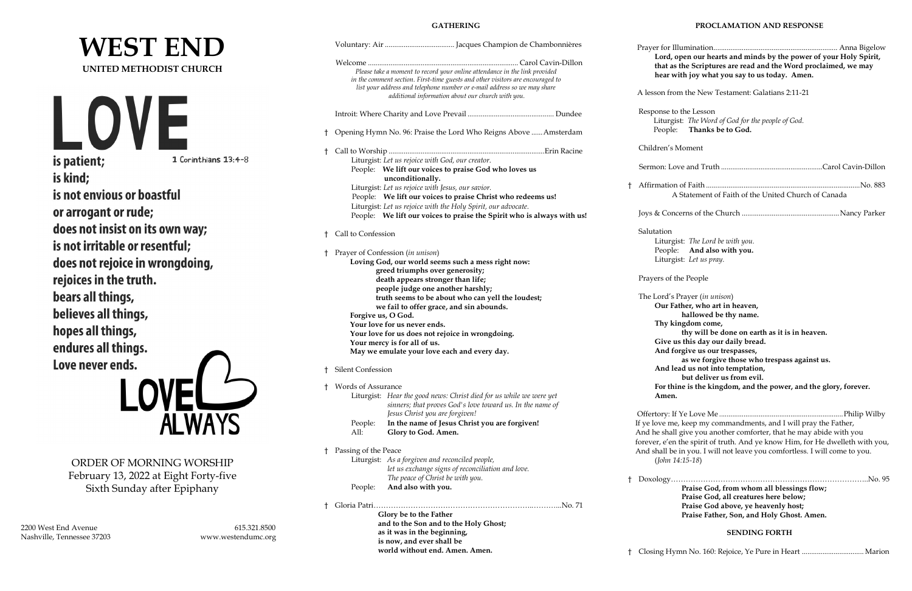# **WEST END UNITED METHODIST CHURCH**

is patient; 1 Corinthians 13:4-8 is kind: is not envious or boastful or arrogant or rude; does not insist on its own way; is not irritable or resentful; does not rejoice in wrongdoing, rejoices in the truth. bears all things, believes all things, hopes all things, endures all things. Love never ends.

 $F\Box$ 

ORDER OF MORNING WORSHIP February 13, 2022 at Eight Forty-five Sixth Sunday after Epiphany

2200 West End Avenue 615.321.8500 Nashville, Tennessee 37203 [www.westendumc.org](http://www.westendumc.org/)

### **GATHERING**

|    |                                                                            |                                                                                |  | Prayer fo       |
|----|----------------------------------------------------------------------------|--------------------------------------------------------------------------------|--|-----------------|
|    |                                                                            |                                                                                |  | L <sub>01</sub> |
|    | Please take a moment to record your online attendance in the link provided |                                                                                |  | tha             |
|    |                                                                            | in the comment section. First-time guests and other visitors are encouraged to |  | hea             |
|    | list your address and telephone number or e-mail address so we may share   |                                                                                |  |                 |
|    |                                                                            | additional information about our church with you.                              |  | A lesson        |
|    |                                                                            |                                                                                |  | Respons         |
|    |                                                                            |                                                                                |  | Litt            |
| t  |                                                                            | Opening Hymn No. 96: Praise the Lord Who Reigns Above  Amsterdam               |  | Pec             |
| Ť. |                                                                            |                                                                                |  | Childrei        |
|    | Liturgist: Let us rejoice with God, our creator.                           |                                                                                |  |                 |
|    | People: We lift our voices to praise God who loves us                      |                                                                                |  | Sermon          |
|    | unconditionally.                                                           |                                                                                |  |                 |
|    | Liturgist: Let us rejoice with Jesus, our savior.                          |                                                                                |  | Affirma         |
|    | People: We lift our voices to praise Christ who redeems us!                |                                                                                |  |                 |
|    | Liturgist: Let us rejoice with the Holy Spirit, our advocate.              |                                                                                |  |                 |
|    |                                                                            | People: We lift our voices to praise the Spirit who is always with us!         |  | Joys & C        |
| Ť. | Call to Confession                                                         |                                                                                |  | Salutati        |
|    |                                                                            |                                                                                |  | Lit             |
| t. | Prayer of Confession (in unison)                                           |                                                                                |  | Pec             |
|    | Loving God, our world seems such a mess right now:                         |                                                                                |  | Lit             |
|    | greed triumphs over generosity;                                            |                                                                                |  |                 |
|    | death appears stronger than life;                                          |                                                                                |  | Prayers         |
|    | people judge one another harshly;                                          |                                                                                |  |                 |
|    | truth seems to be about who can yell the loudest;                          |                                                                                |  | The Lor         |
|    | we fail to offer grace, and sin abounds.                                   |                                                                                |  | Ou              |
|    | Forgive us, O God.                                                         |                                                                                |  |                 |
|    | Your love for us never ends.                                               |                                                                                |  | Th              |
|    | Your love for us does not rejoice in wrongdoing.                           |                                                                                |  |                 |
|    | Your mercy is for all of us.                                               |                                                                                |  | Gi              |
|    | May we emulate your love each and every day.                               |                                                                                |  | An              |
|    |                                                                            |                                                                                |  |                 |
|    | <b>t</b> Silent Confession                                                 |                                                                                |  | An              |
|    | † Words of Assurance                                                       |                                                                                |  | For             |
|    |                                                                            | Liturgist: Hear the good news: Christ died for us while we were yet            |  | An              |
|    |                                                                            | sinners; that proves God's love toward us. In the name of                      |  |                 |
|    |                                                                            | Jesus Christ you are forgiven!                                                 |  | Offertor        |
|    | People:                                                                    | In the name of Jesus Christ you are forgiven!                                  |  | If ye love      |
|    | All:                                                                       | Glory to God. Amen.                                                            |  | And he s        |
|    |                                                                            |                                                                                |  | forever,        |
| Ť. | Passing of the Peace                                                       |                                                                                |  | And shal        |
|    |                                                                            | Liturgist: As a forgiven and reconciled people,                                |  | (Jol            |
|    |                                                                            | let us exchange signs of reconciliation and love.                              |  |                 |
|    |                                                                            | The peace of Christ be with you.                                               |  | Doxolog         |
|    | People:                                                                    | And also with you.                                                             |  |                 |
| t. |                                                                            |                                                                                |  |                 |
|    | Glory be to the Father                                                     |                                                                                |  |                 |
|    | and to the Son and to the Holy Ghost;                                      |                                                                                |  |                 |
|    |                                                                            | as it was in the beginning,                                                    |  |                 |

**is now, and ever shall be**

**world without end. Amen. Amen.**

#### **PROCLAMATION AND RESPONSE**

 Prayer for Illumination.................................................................. Anna Bigelow **Lord, open our hearts and minds by the power of your Holy Spirit, that as the Scriptures are read and the Word proclaimed, we may hear with joy what you say to us today. Amen.** from the New Testament: Galatians 2:11-21 se to the Lesson Liturgist: *The Word of God for the people of God.* People: **Thanks be to God.** n's Moment Sermon: Love and Truth ......................................................Carol Cavin-Dillon † Affirmation of Faith ..................................................................................No. 883 A Statement of Faith of the United Church of Canada Joys & Concerns of the Church ....................................................Nancy Parker on Liturgist: *The Lord be with you.* People: **And also with you.** Liturgist: *Let us pray.* of the People rd's Prayer (*in unison*) **Our Father, who art in heaven, hallowed be thy name. Thy kingdom come, thy will be done on earth as it is in heaven. Give us this day our daily bread. And forgive us our trespasses, as we forgive those who trespass against us. And lead us not into temptation, but deliver us from evil. For thine is the kingdom, and the power, and the glory, forever. Amen.** Offertory: If Ye Love Me ..................................................................Philip Wilby If yerg me, keep my commandments, and I will pray the Father, shall give you another comforter, that he may abide with you e'en the spirit of truth. And ye know Him, for He dwelleth with you, Il be in you. I will not leave you comfortless. I will come to you. (*John 14:15-18*) † Doxology……………………………………………………………………..No. 95 **Praise God, from whom all blessings flow; Praise God, all creatures here below; Praise God above, ye heavenly host; Praise Father, Son, and Holy Ghost. Amen. SENDING FORTH**